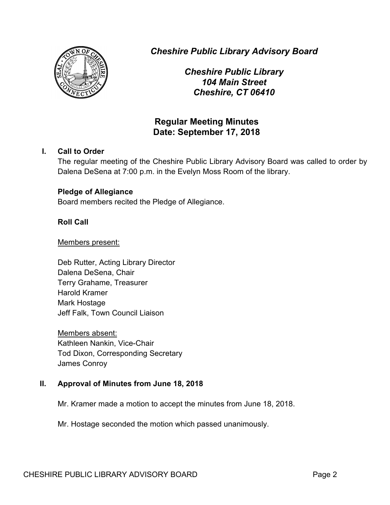

*Cheshire Public Library Advisory Board*

*Cheshire Public Library 104 Main Street Cheshire, CT 06410*

# **Regular Meeting Minutes Date: September 17, 2018**

## **I. Call to Order**

The regular meeting of the Cheshire Public Library Advisory Board was called to order by Dalena DeSena at 7:00 p.m. in the Evelyn Moss Room of the library.

## **Pledge of Allegiance**

Board members recited the Pledge of Allegiance.

## **Roll Call**

#### Members present:

Deb Rutter, Acting Library Director Dalena DeSena, Chair Terry Grahame, Treasurer Harold Kramer Mark Hostage Jeff Falk, Town Council Liaison

Members absent: Kathleen Nankin, Vice-Chair Tod Dixon, Corresponding Secretary James Conroy

## **II. Approval of Minutes from June 18, 2018**

Mr. Kramer made a motion to accept the minutes from June 18, 2018.

Mr. Hostage seconded the motion which passed unanimously.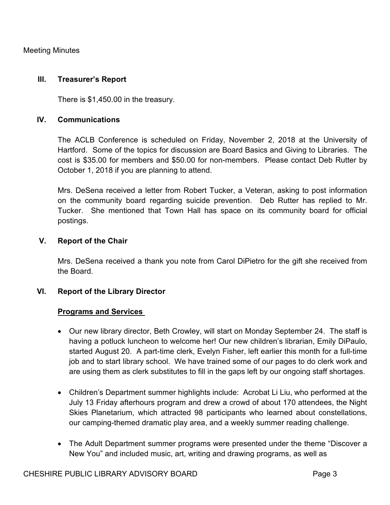#### **III. Treasurer's Report**

There is \$1,450.00 in the treasury.

## **IV. Communications**

The ACLB Conference is scheduled on Friday, November 2, 2018 at the University of Hartford. Some of the topics for discussion are Board Basics and Giving to Libraries. The cost is \$35.00 for members and \$50.00 for non-members. Please contact Deb Rutter by October 1, 2018 if you are planning to attend.

Mrs. DeSena received a letter from Robert Tucker, a Veteran, asking to post information on the community board regarding suicide prevention. Deb Rutter has replied to Mr. Tucker. She mentioned that Town Hall has space on its community board for official postings.

## **V. Report of the Chair**

Mrs. DeSena received a thank you note from Carol DiPietro for the gift she received from the Board.

## **VI. Report of the Library Director**

## **Programs and Services**

- Our new library director, Beth Crowley, will start on Monday September 24. The staff is having a potluck luncheon to welcome her! Our new children's librarian, Emily DiPaulo, started August 20. A part-time clerk, Evelyn Fisher, left earlier this month for a full-time job and to start library school. We have trained some of our pages to do clerk work and are using them as clerk substitutes to fill in the gaps left by our ongoing staff shortages.
- Children's Department summer highlights include: Acrobat Li Liu, who performed at the July 13 Friday afterhours program and drew a crowd of about 170 attendees, the Night Skies Planetarium, which attracted 98 participants who learned about constellations, our camping-themed dramatic play area, and a weekly summer reading challenge.
- The Adult Department summer programs were presented under the theme "Discover a New You" and included music, art, writing and drawing programs, as well as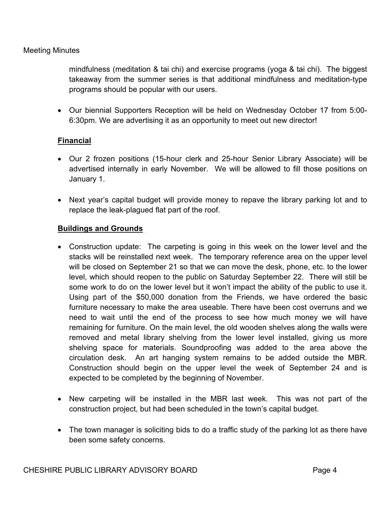mindfulness (meditation & tai chi) and exercise programs (yoga & tai chi). The biggest takeaway from the summer series is that additional mindfulness and meditation-type programs should be popular with our users.

• Our biennial Supporters Reception will be held on Wednesday October 17 from 5:00- 6:30pm. We are advertising it as an opportunity to meet out new director!

## **Financial**

- Our 2 frozen positions (15-hour clerk and 25-hour Senior Library Associate) will be advertised internally in early November. We will be allowed to fill those positions on January 1.
- Next year's capital budget will provide money to repave the library parking lot and to replace the leak-plagued flat part of the roof.

## **Buildings and Grounds**

- Construction update: The carpeting is going in this week on the lower level and the stacks will be reinstalled next week. The temporary reference area on the upper level will be closed on September 21 so that we can move the desk, phone, etc. to the lower level, which should reopen to the public on Saturday September 22. There will still be some work to do on the lower level but it won't impact the ability of the public to use it. Using part of the \$50,000 donation from the Friends, we have ordered the basic furniture necessary to make the area useable. There have been cost overruns and we need to wait until the end of the process to see how much money we will have remaining for furniture. On the main level, the old wooden shelves along the walls were removed and metal library shelving from the lower level installed, giving us more shelving space for materials. Soundproofing was added to the area above the circulation desk. An art hanging system remains to be added outside the MBR. Construction should begin on the upper level the week of September 24 and is expected to be completed by the beginning of November.
- New carpeting will be installed in the MBR last week. This was not part of the construction project, but had been scheduled in the town's capital budget.
- The town manager is soliciting bids to do a traffic study of the parking lot as there have been some safety concerns.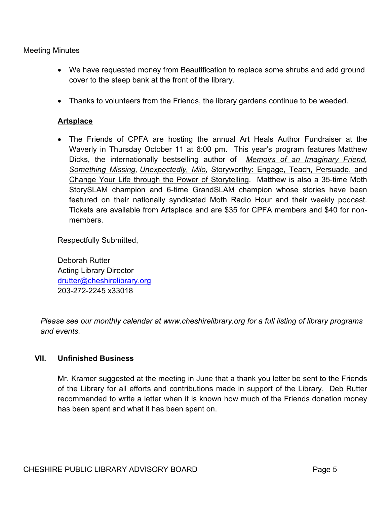- We have requested money from Beautification to replace some shrubs and add ground cover to the steep bank at the front of the library.
- Thanks to volunteers from the Friends, the library gardens continue to be weeded.

## **Artsplace**

• The Friends of CPFA are hosting the annual Art Heals Author Fundraiser at the Waverly in Thursday October 11 at 6:00 pm. This year's program features Matthew Dicks, the internationally bestselling author of *Memoirs of an Imaginary Friend, Something Missing, Unexpectedly, Milo,* Storyworthy: Engage, Teach, Persuade, and Change Your Life through the Power of Storytelling. Matthew is also a 35-time Moth StorySLAM champion and 6-time GrandSLAM champion whose stories have been featured on their nationally syndicated Moth Radio Hour and their weekly podcast. Tickets are available from Artsplace and are \$35 for CPFA members and \$40 for nonmembers.

Respectfully Submitted,

Deborah Rutter Acting Library Director drutter@cheshirelibrary.org 203-272-2245 x33018

*Please see our monthly calendar at www.cheshirelibrary.org for a full listing of library programs and events.*

## **VII. Unfinished Business**

Mr. Kramer suggested at the meeting in June that a thank you letter be sent to the Friends of the Library for all efforts and contributions made in support of the Library. Deb Rutter recommended to write a letter when it is known how much of the Friends donation money has been spent and what it has been spent on.